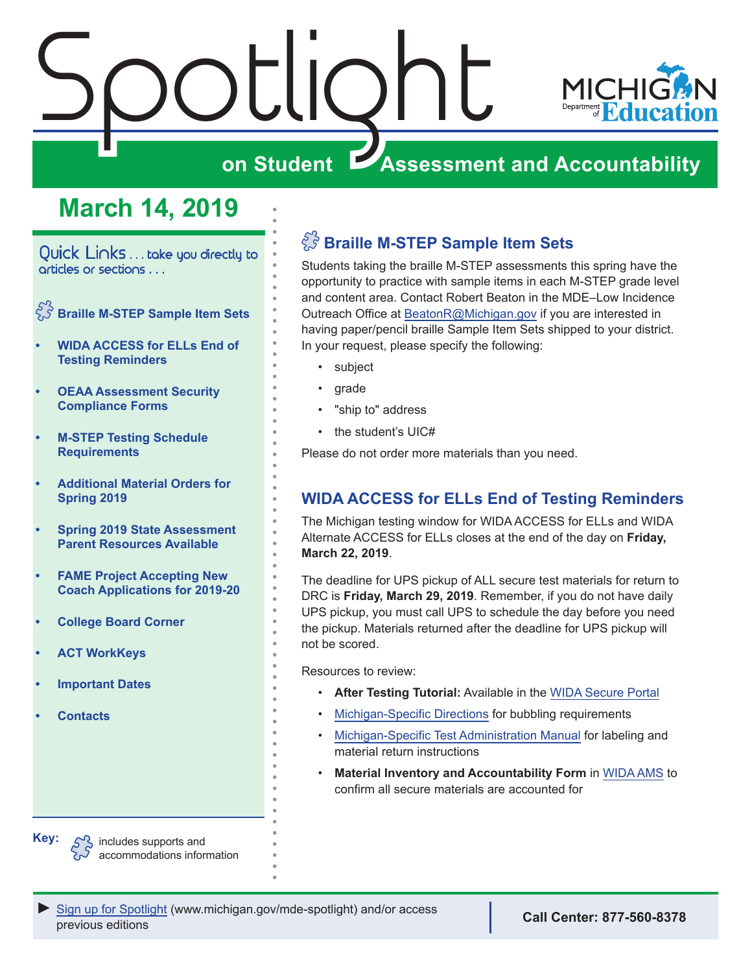# Spotlight **MICI on Student Assessment and Accountability**

# **March 14, 2019**

<span id="page-0-0"></span>Quick Links . . . take you directly to articles or sections . . .

- **Braille M-STEP Sample Item Sets**
- **• WIDA ACCESS for ELLs End of Testing Reminders**
- **• [OEAA Assessment Security](#page-1-0)  [Compliance Forms](#page-1-0)**
- **• [M-STEP Testing Schedule](#page-1-0)  [Requirements](#page-1-0)**
- **• [Additional Material Orders for](#page-1-0)  [Spring 2019](#page-1-0)**
- **• [Spring 2019 State Assessment](#page-2-0)  [Parent Resources Available](#page-2-0)**
- **• [FAME Project Accepting New](#page-2-0)  [Coach Applications for 2019-20](#page-2-0)**
- **• [College Board Corner](#page-3-0)**
- **• [ACT WorkKeys](#page-5-0)**
- **• [Important Dates](#page-7-0)**
- **• [Contacts](#page-8-0)**

# **Braille M-STEP Sample Item Sets**

Students taking the braille M-STEP assessments this spring have the opportunity to practice with sample items in each M-STEP grade level and content area. Contact Robert Beaton in the MDE–Low Incidence Outreach Office at [BeatonR@Michigan.gov](mailto:BeatonR%40Michigan.gov?subject=) if you are interested in having paper/pencil braille Sample Item Sets shipped to your district. In your request, please specify the following:

- subject
- grade
- "ship to" address
- the student's UIC#

Please do not order more materials than you need.

# **WIDA ACCESS for ELLs End of Testing Reminders**

The Michigan testing window for WIDA ACCESS for ELLs and WIDA Alternate ACCESS for ELLs closes at the end of the day on **Friday, March 22, 2019**.

The deadline for UPS pickup of ALL secure test materials for return to DRC is **Friday, March 29, 2019**. Remember, if you do not have daily UPS pickup, you must call UPS to schedule the day before you need the pickup. Materials returned after the deadline for UPS pickup will not be scored.

Resources to review:

- **After Testing Tutorial:** Available in the [WIDA Secure Portal](https://wida.wisc.edu/login)
- [Michigan-Specific Directions](https://wida.wisc.edu/sites/default/files/state-specific-directions/MI-State-Specific-Directions.pdf) for bubbling requirements
- [Michigan-Specific Test Administration Manual](https://www.michigan.gov/documents/mde/WIDA_Michigan_Specific_TAM_635431_7.pdf) for labeling and material return instructions
- **Material Inventory and Accountability Form** in [WIDA AMS](https://www.wida-ams.us/) to confirm all secure materials are accounted for

**Key:**  $S^2$  includes supports and accommodations information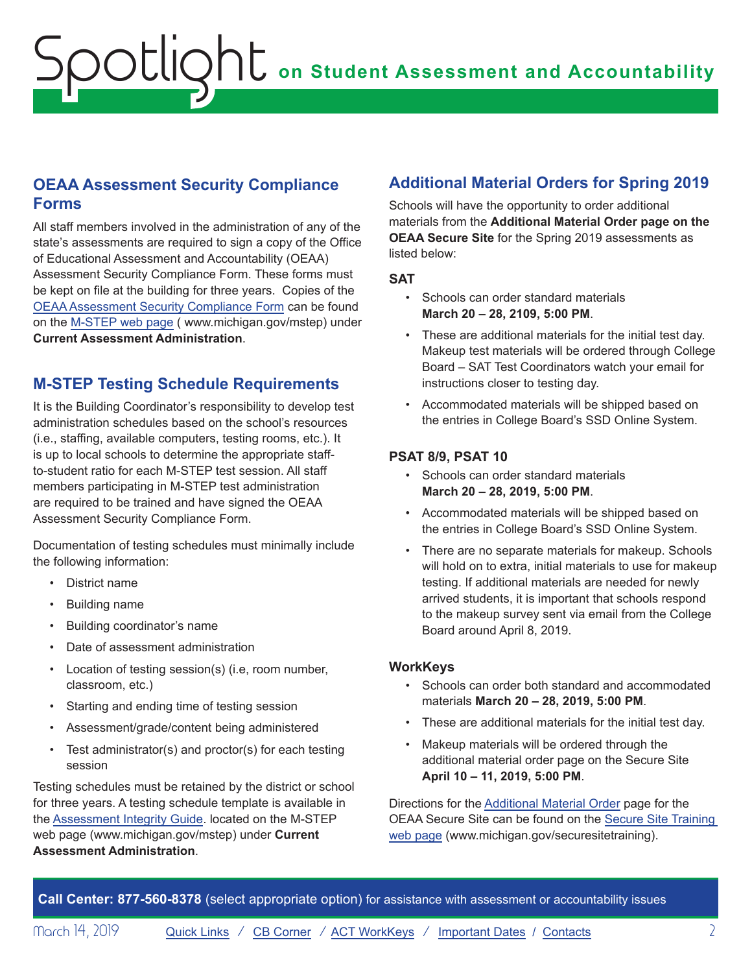# <span id="page-1-0"></span>**OEAA Assessment Security Compliance Forms**

All staff members involved in the administration of any of the state's assessments are required to sign a copy of the Office of Educational Assessment and Accountability (OEAA) Assessment Security Compliance Form. These forms must be kept on file at the building for three years. Copies of the [OEAA Assessment Security Compliance Form](https://www.michigan.gov/documents/mde/OEAA_Security_Compliance_Form_634992_7.pdf) can be found on the [M-STEP web page](www.michigan.gov/mstep) ( www.michigan.gov/mstep) under **Current Assessment Administration**.

# **M-STEP Testing Schedule Requirements**

It is the Building Coordinator's responsibility to develop test administration schedules based on the school's resources (i.e., staffing, available computers, testing rooms, etc.). It is up to local schools to determine the appropriate staffto-student ratio for each M-STEP test session. All staff members participating in M-STEP test administration are required to be trained and have signed the OEAA Assessment Security Compliance Form.

Documentation of testing schedules must minimally include the following information:

- District name
- Building name
- Building coordinator's name
- Date of assessment administration
- Location of testing session(s) (i.e, room number, classroom, etc.)
- Starting and ending time of testing session
- Assessment/grade/content being administered
- Test administrator(s) and proctor(s) for each testing session

Testing schedules must be retained by the district or school for three years. A testing schedule template is available in the [Assessment Integrity Guide](https://www.michigan.gov/documents/mde/Assessment_Integrity_Guide_291950_7.pdf). located on the M-STEP web page (www.michigan.gov/mstep) under **Current Assessment Administration**.

# **Additional Material Orders for Spring 2019**

Schools will have the opportunity to order additional materials from the **Additional Material Order page on the OEAA Secure Site** for the Spring 2019 assessments as listed below:

**SAT**

- Schools can order standard materials **March 20 – 28, 2109, 5:00 PM**.
- These are additional materials for the initial test day. Makeup test materials will be ordered through College Board – SAT Test Coordinators watch your email for instructions closer to testing day.
- Accommodated materials will be shipped based on the entries in College Board's SSD Online System.

### **PSAT 8/9, PSAT 10**

- Schools can order standard materials **March 20 – 28, 2019, 5:00 PM**.
- Accommodated materials will be shipped based on the entries in College Board's SSD Online System.
- There are no separate materials for makeup. Schools will hold on to extra, initial materials to use for makeup testing. If additional materials are needed for newly arrived students, it is important that schools respond to the makeup survey sent via email from the College Board around April 8, 2019.

### **WorkKeys**

- Schools can order both standard and accommodated materials **March 20 – 28, 2019, 5:00 PM**.
- These are additional materials for the initial test day.
- Makeup materials will be ordered through the additional material order page on the Secure Site **April 10 – 11, 2019, 5:00 PM**.

Directions for the [Additional Material Order](https://www.michigan.gov/documents/mde/additional_material_order_quick_reference_554554_7.pdf) page for the OEAA Secure Site can be found on the [Secure Site Training](http://www.michigan.gov/securesitetraining)  [web page](http://www.michigan.gov/securesitetraining) (www.michigan.gov/securesitetraining).

**Call Center: 877-560-8378** (select appropriate option) for assistance with assessment or accountability issues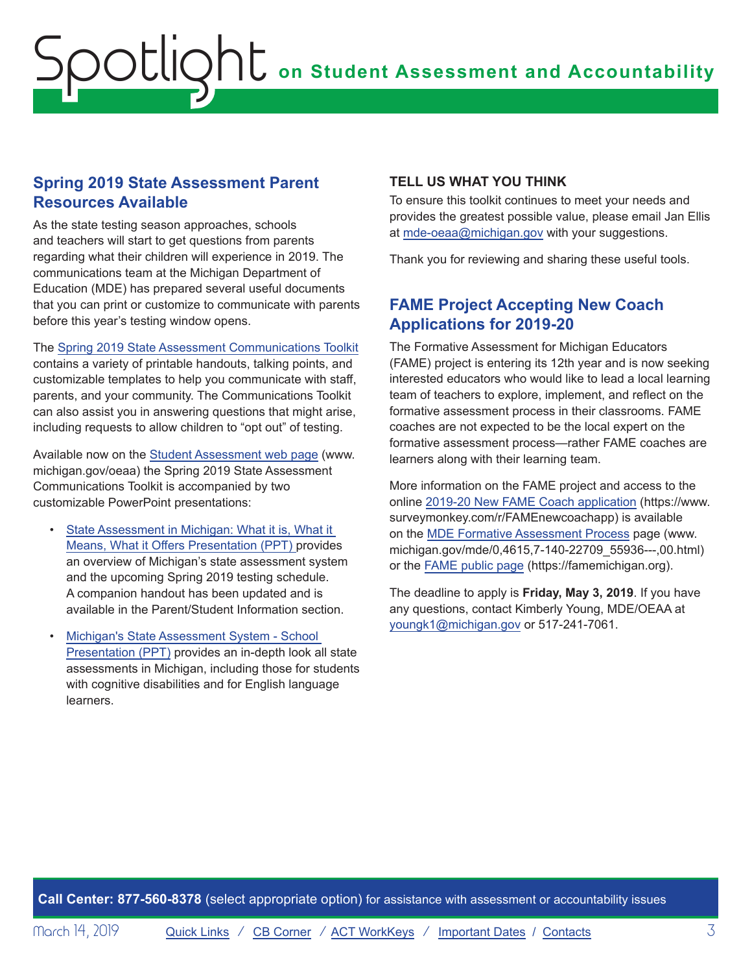## <span id="page-2-0"></span>**Spring 2019 State Assessment Parent Resources Available**

As the state testing season approaches, schools and teachers will start to get questions from parents regarding what their children will experience in 2019. The communications team at the Michigan Department of Education (MDE) has prepared several useful documents that you can print or customize to communicate with parents before this year's testing window opens.

The [Spring 2019 State Assessment Communications Toolkit](https://www.michigan.gov/documents/mde/2019_M-STEP-MME_Spring_Communications_Toolkit_Final_647497_7.docx) contains a variety of printable handouts, talking points, and customizable templates to help you communicate with staff, parents, and your community. The Communications Toolkit can also assist you in answering questions that might arise, including requests to allow children to "opt out" of testing.

Available now on the [Student Assessment web page](http://www.michigan.gov/oeaa) (www. michigan.gov/oeaa) the Spring 2019 State Assessment Communications Toolkit is accompanied by two customizable PowerPoint presentations:

- State Assessment in Michigan: What it is, What it [Means, What it Offers Presentation \(PPT\)](https://www.michigan.gov/documents/mde/State_Assessment_in_Michigan_Presentation_2.6.2018_613126_7.pptx) provides an overview of Michigan's state assessment system and the upcoming Spring 2019 testing schedule. A companion handout has been updated and is available in the Parent/Student Information section.
- [Michigan's State Assessment System School](https://www.michigan.gov/documents/mde/Michigan_Assessment_System_Presentation_TOOLKIT_646979_7.pptx)  [Presentation \(PPT\)](https://www.michigan.gov/documents/mde/Michigan_Assessment_System_Presentation_TOOLKIT_646979_7.pptx) provides an in-depth look all state assessments in Michigan, including those for students with cognitive disabilities and for English language learners.

### **TELL US WHAT YOU THINK**

To ensure this toolkit continues to meet your needs and provides the greatest possible value, please email Jan Ellis at [mde-oeaa@michigan.gov](mailto:mde-oeaa%40michigan.gov?subject=) with your suggestions.

Thank you for reviewing and sharing these useful tools.

# **FAME Project Accepting New Coach Applications for 2019-20**

The Formative Assessment for Michigan Educators (FAME) project is entering its 12th year and is now seeking interested educators who would like to lead a local learning team of teachers to explore, implement, and reflect on the formative assessment process in their classrooms. FAME coaches are not expected to be the local expert on the formative assessment process—rather FAME coaches are learners along with their learning team.

More information on the FAME project and access to the online [2019-20 New FAME Coach application](https://www.surveymonkey.com/r/FAMEnewcoachapp) (https://www. surveymonkey.com/r/FAMEnewcoachapp) is available on the [MDE Formative Assessment Process](https://www.michigan.gov/mde/0,4615,7-140-22709_55936---,00.html) page (www. michigan.gov/mde/0,4615,7-140-22709\_55936---,00.html) or the FAME [public page](https://famemichigan.org/) (https://famemichigan.org).

The deadline to apply is **Friday, May 3, 2019**. If you have any questions, contact Kimberly Young, MDE/OEAA at [youngk1@michigan.gov](mailto:youngk1%40michigan.gov?subject=) or 517-241-7061.

**Call Center: 877-560-8378** (select appropriate option) for assistance with assessment or accountability issues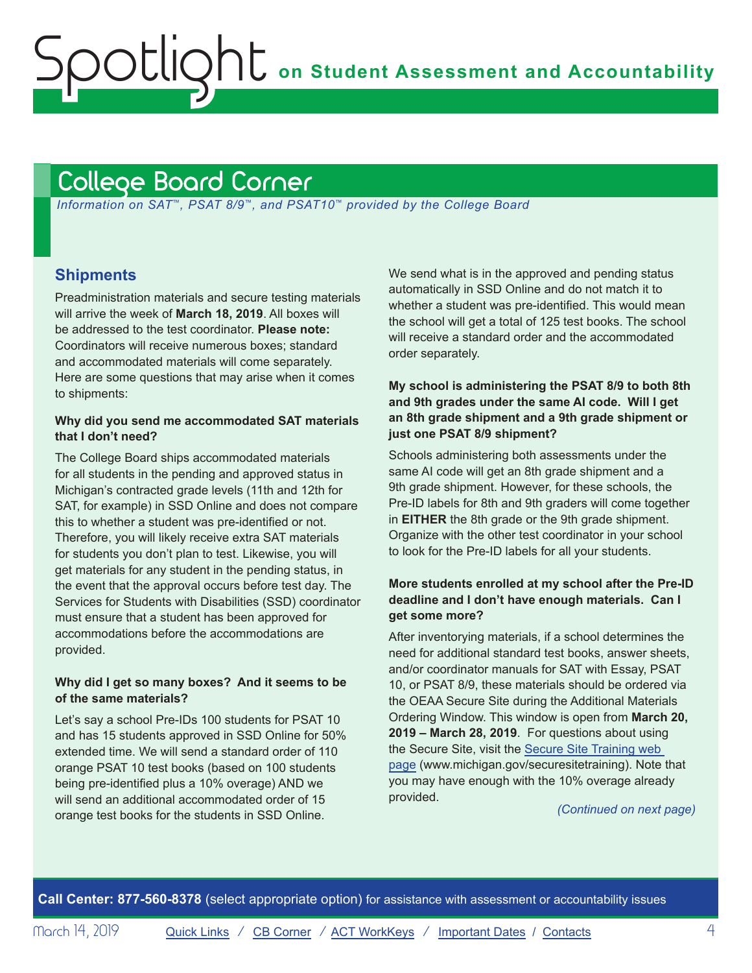# <span id="page-3-1"></span>College Board Corner

<span id="page-3-0"></span>Spotlight

 *Information on SAT*™*, PSAT 8/9*™*, and PSAT10*™ *provided by the College Board*

### **Shipments**

Preadministration materials and secure testing materials will arrive the week of **March 18, 2019**. All boxes will be addressed to the test coordinator. **Please note:**  Coordinators will receive numerous boxes; standard and accommodated materials will come separately. Here are some questions that may arise when it comes to shipments:

#### **Why did you send me accommodated SAT materials that I don't need?**

The College Board ships accommodated materials for all students in the pending and approved status in Michigan's contracted grade levels (11th and 12th for SAT, for example) in SSD Online and does not compare this to whether a student was pre-identified or not. Therefore, you will likely receive extra SAT materials for students you don't plan to test. Likewise, you will get materials for any student in the pending status, in the event that the approval occurs before test day. The Services for Students with Disabilities (SSD) coordinator must ensure that a student has been approved for accommodations before the accommodations are provided.

### **Why did I get so many boxes? And it seems to be of the same materials?**

Let's say a school Pre-IDs 100 students for PSAT 10 and has 15 students approved in SSD Online for 50% extended time. We will send a standard order of 110 orange PSAT 10 test books (based on 100 students being pre-identified plus a 10% overage) AND we will send an additional accommodated order of 15 orange test books for the students in SSD Online.

We send what is in the approved and pending status automatically in SSD Online and do not match it to whether a student was pre-identified. This would mean the school will get a total of 125 test books. The school will receive a standard order and the accommodated order separately.

### **My school is administering the PSAT 8/9 to both 8th and 9th grades under the same AI code. Will I get an 8th grade shipment and a 9th grade shipment or just one PSAT 8/9 shipment?**

Schools administering both assessments under the same AI code will get an 8th grade shipment and a 9th grade shipment. However, for these schools, the Pre-ID labels for 8th and 9th graders will come together in **EITHER** the 8th grade or the 9th grade shipment. Organize with the other test coordinator in your school to look for the Pre-ID labels for all your students.

### **More students enrolled at my school after the Pre-ID deadline and I don't have enough materials. Can I get some more?**

After inventorying materials, if a school determines the need for additional standard test books, answer sheets, and/or coordinator manuals for SAT with Essay, PSAT 10, or PSAT 8/9, these materials should be ordered via the OEAA Secure Site during the Additional Materials Ordering Window. This window is open from **March 20, 2019 – March 28, 2019**. For questions about using the Secure Site, visit the [Secure Site Training web](http://www.michigan.gov/securesitetraining)  [page](http://www.michigan.gov/securesitetraining) (www.michigan.gov/securesitetraining). Note that you may have enough with the 10% overage already provided.

*(Continued on next page)*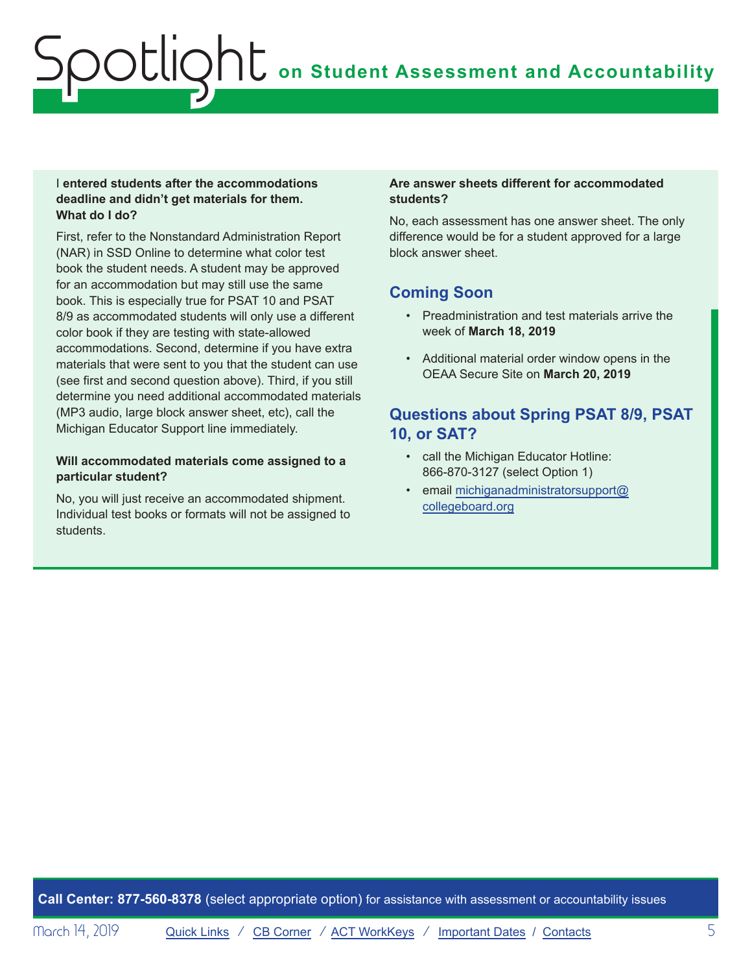#### I **entered students after the accommodations deadline and didn't get materials for them. What do I do?**

First, refer to the Nonstandard Administration Report (NAR) in SSD Online to determine what color test book the student needs. A student may be approved for an accommodation but may still use the same book. This is especially true for PSAT 10 and PSAT 8/9 as accommodated students will only use a different color book if they are testing with state-allowed accommodations. Second, determine if you have extra materials that were sent to you that the student can use (see first and second question above). Third, if you still determine you need additional accommodated materials (MP3 audio, large block answer sheet, etc), call the Michigan Educator Support line immediately.

#### **Will accommodated materials come assigned to a particular student?**

No, you will just receive an accommodated shipment. Individual test books or formats will not be assigned to students.

#### **Are answer sheets different for accommodated students?**

No, each assessment has one answer sheet. The only difference would be for a student approved for a large block answer sheet.

# **Coming Soon**

- Preadministration and test materials arrive the week of **March 18, 2019**
- Additional material order window opens in the OEAA Secure Site on **March 20, 2019**

# **Questions about Spring PSAT 8/9, PSAT 10, or SAT?**

- call the Michigan Educator Hotline: 866-870-3127 (select Option 1)
- email [michiganadministratorsupport@](mailto:michiganadministratorsupport%40collegeboard.org?subject=) [collegeboard.org](mailto:michiganadministratorsupport%40collegeboard.org?subject=)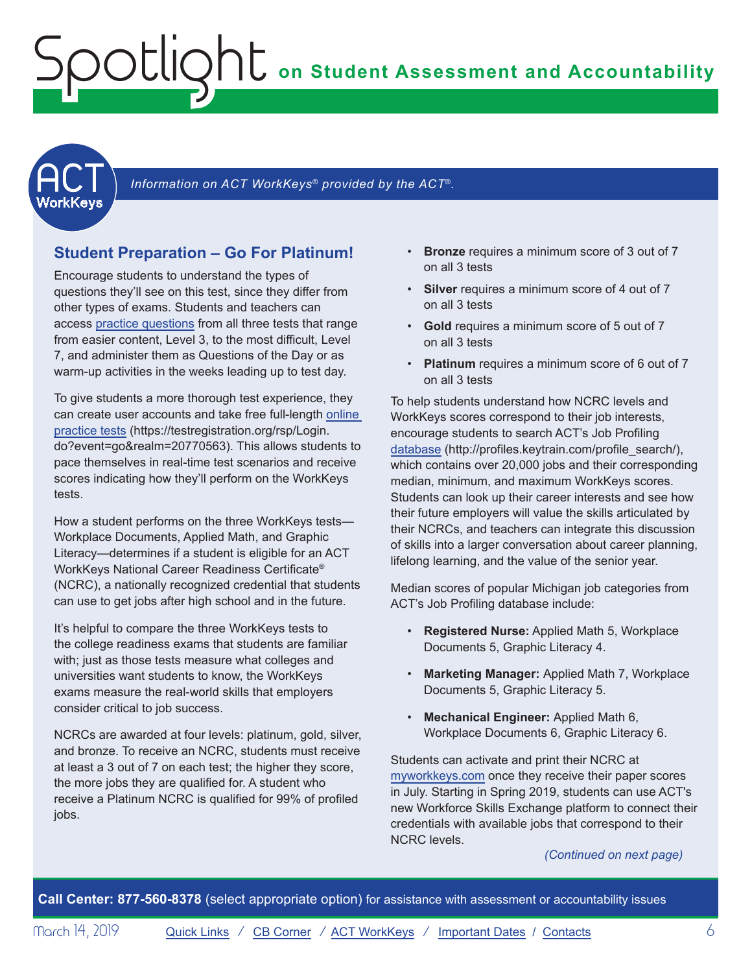<span id="page-5-1"></span><span id="page-5-0"></span>

Information on ACT WorkKeys<sup>®</sup> provided by the ACT<sup>®</sup>.

# **Student Preparation – Go For Platinum!**

Encourage students to understand the types of questions they'll see on this test, since they differ from other types of exams. Students and teachers can [access practice questions](https://www.act.org/content/act/en/products-and-services/workkeys-for-job-seekers/preparation.html) from all three tests that range from easier content, Level 3, to the most difficult, Level 7, and administer them as Questions of the Day or as warm-up activities in the weeks leading up to test day.

To give students a more thorough test experience, they can create user accounts and take free full-length [online](https://testregistration.org/rsp/Login.do?event=go&realm=20770563)  [practice tests](https://testregistration.org/rsp/Login.do?event=go&realm=20770563) (https://testregistration.org/rsp/Login. do?event=go&realm=20770563). This allows students to pace themselves in real-time test scenarios and receive scores indicating how they'll perform on the WorkKeys tests.

How a student performs on the three WorkKeys tests— Workplace Documents, Applied Math, and Graphic Literacy—determines if a student is eligible for an ACT WorkKeys National Career Readiness Certificate® (NCRC), a nationally recognized credential that students can use to get jobs after high school and in the future.

It's helpful to compare the three WorkKeys tests to the college readiness exams that students are familiar with; just as those tests measure what colleges and universities want students to know, the WorkKeys exams measure the real-world skills that employers consider critical to job success.

NCRCs are awarded at four levels: platinum, gold, silver, and bronze. To receive an NCRC, students must receive at least a 3 out of 7 on each test; the higher they score, the more jobs they are qualified for. A student who receive a Platinum NCRC is qualified for 99% of profiled jobs.

- **Bronze** requires a minimum score of 3 out of 7 on all 3 tests
- **Silver** requires a minimum score of 4 out of 7 on all 3 tests
- **Gold** requires a minimum score of 5 out of 7 on all 3 tests
- **Platinum** requires a minimum score of 6 out of 7 on all 3 tests

To help students understand how NCRC levels and WorkKeys scores correspond to their job interests, encourage students to search ACT's Job Profiling [database](http://profiles.keytrain.com/profile_search/) (http://profiles.keytrain.com/profile\_search/), which contains over 20,000 jobs and their corresponding median, minimum, and maximum WorkKeys scores. Students can look up their career interests and see how their future employers will value the skills articulated by their NCRCs, and teachers can integrate this discussion of skills into a larger conversation about career planning, lifelong learning, and the value of the senior year.

Median scores of popular Michigan job categories from ACT's Job Profiling database include:

- **Registered Nurse:** Applied Math 5, Workplace Documents 5, Graphic Literacy 4.
- **Marketing Manager:** Applied Math 7, Workplace Documents 5, Graphic Literacy 5.
- **Mechanical Engineer:** Applied Math 6, Workplace Documents 6, Graphic Literacy 6.

Students can activate and print their NCRC at [myworkkeys.com](http://www.myworkkeys.com) once they receive their paper scores in July. Starting in Spring 2019, students can use ACT's new Workforce Skills Exchange platform to connect their credentials with available jobs that correspond to their NCRC levels.

*(Continued on next page)*

**Call Center: 877-560-8378** (select appropriate option) for assistance with assessment or accountability issues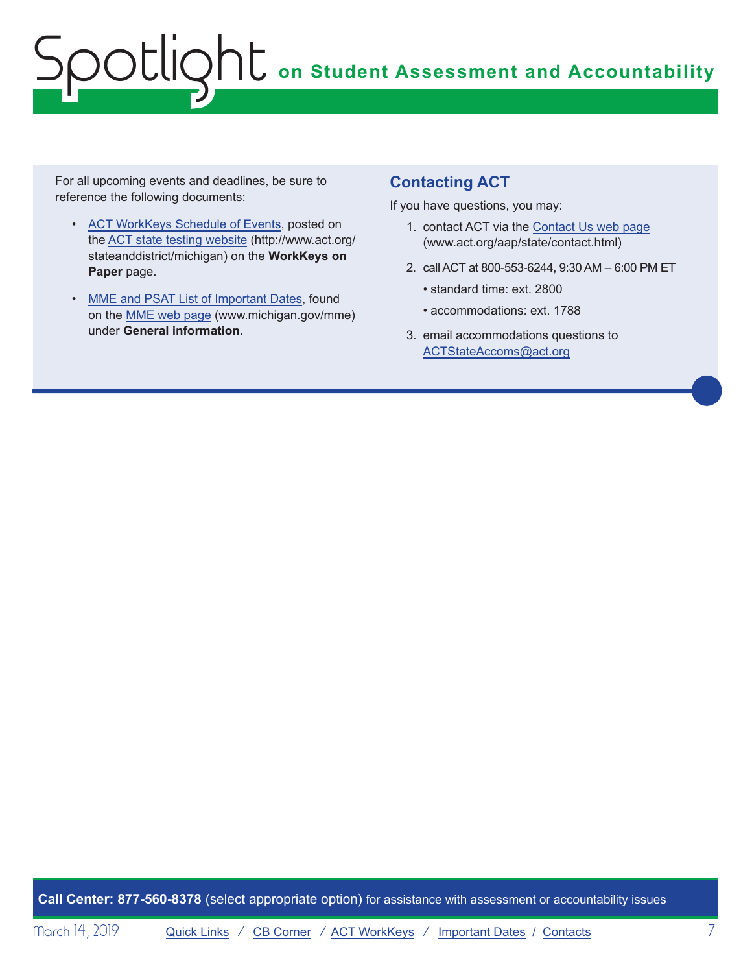For all upcoming events and deadlines, be sure to reference the following documents:

- [ACT WorkKeys Schedule of Events,](http://www.act.org/content/dam/act/unsecured/documents/ScheduleofEventsWorkKeys-MI.pdf) posted on the [ACT state testing website](http://www.act.org/stateanddistrict/michigan) (http://www.act.org/ stateanddistrict/michigan) on the **WorkKeys on Paper** page.
- [MME and PSAT List of Important Dates](https://www.michigan.gov/documents/mde/MME_List_of_Important_Dates_634790_7.pdf), found on the [MME web page](www.michigan.gov/mme) (www.michigan.gov/mme) under **General information**.

# **Contacting ACT**

If you have questions, you may:

- 1. contact ACT via the [Contact Us web page](http://www.act.org/aap/state/contact.html) ([www.act.org/aap/state/contact.html\)](www.act.org/aap/state/contact.html)
- 2. call ACT at 800-553-6244, 9:30 AM 6:00 PM ET
	- standard time: ext. 2800
	- accommodations: ext. 1788
- 3. email accommodations questions to [ACTStateAccoms@act.org](mailto:ACTStateAccoms%40act.org?subject=)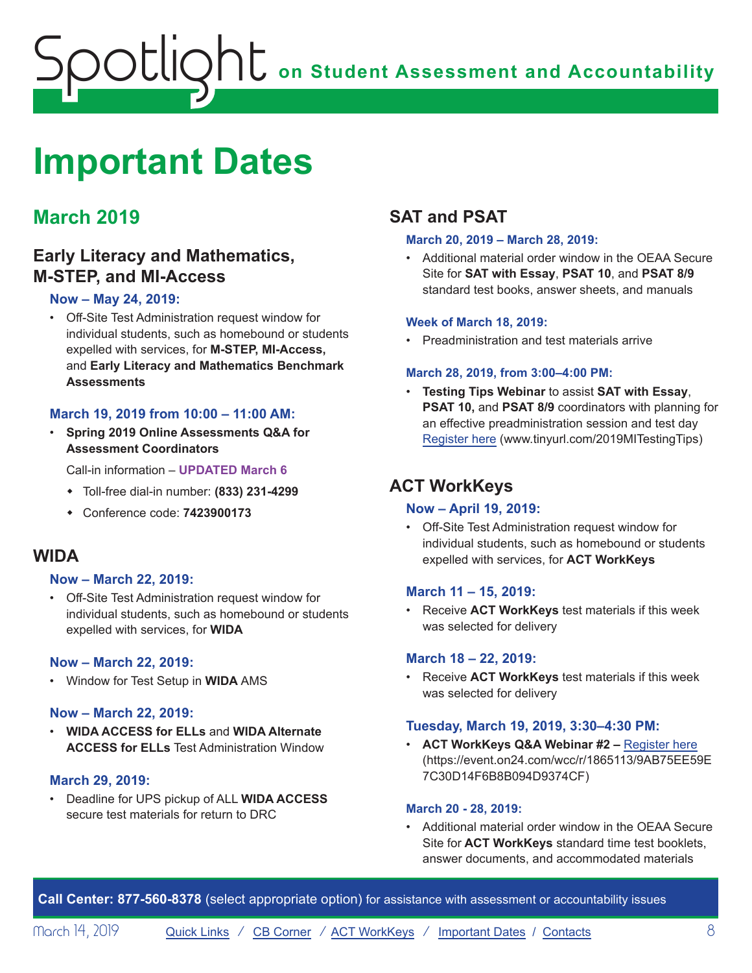# <span id="page-7-1"></span><span id="page-7-0"></span>**Important Dates**

# **March 2019**

# **Early Literacy and Mathematics, M-STEP, and MI-Access**

### **Now – May 24, 2019:**

• Off-Site Test Administration request window for individual students, such as homebound or students expelled with services, for **M-STEP, MI-Access,**  and **Early Literacy and Mathematics Benchmark Assessments**

### **March 19, 2019 from 10:00 – 11:00 AM:**

• **Spring 2019 Online Assessments Q&A for Assessment Coordinators**

Call-in information – **UPDATED March 6**

- w Toll-free dial-in number: **(833) 231-4299**
- w Conference code: **7423900173**

# **WIDA**

### **Now – March 22, 2019:**

• Off-Site Test Administration request window for individual students, such as homebound or students expelled with services, for **WIDA**

### **Now – March 22, 2019:**

• Window for Test Setup in **WIDA** AMS

### **Now – March 22, 2019:**

• **WIDA ACCESS for ELLs** and **WIDA Alternate ACCESS for ELLs** Test Administration Window

### **March 29, 2019:**

• Deadline for UPS pickup of ALL **WIDA ACCESS**  secure test materials for return to DRC

# **SAT and PSAT**

#### **March 20, 2019 – March 28, 2019:**

• Additional material order window in the OEAA Secure Site for **SAT with Essay**, **PSAT 10**, and **PSAT 8/9**  standard test books, answer sheets, and manuals

#### **Week of March 18, 2019:**

• Preadministration and test materials arrive

#### **March 28, 2019, from 3:00–4:00 PM:**

• **Testing Tips Webinar** to assist **SAT with Essay**, **PSAT 10,** and **PSAT 8/9** coordinators with planning for an effective preadministration session and test day [Register here](http://www.tinyurl.com/2019MITestingTips) (www.tinyurl.com/2019MITestingTips)

# **ACT WorkKeys**

### **Now – April 19, 2019:**

• Off-Site Test Administration request window for individual students, such as homebound or students expelled with services, for **ACT WorkKeys**

### **March 11 – 15, 2019:**

• Receive **ACT WorkKeys** test materials if this week was selected for delivery

### **March 18 – 22, 2019:**

• Receive **ACT WorkKeys** test materials if this week was selected for delivery

### **Tuesday, March 19, 2019, 3:30–4:30 PM:**

• **ACT WorkKeys Q&A Webinar #2 –** [Register here](https://event.on24.com/wcc/r/1865113/9AB75EE59E7C30D14F6B8B094D9374CF) (https://event.on24.com/wcc/r/1865113/9AB75EE59E 7C30D14F6B8B094D9374CF)

### **March 20 - 28, 2019:**

• Additional material order window in the OEAA Secure Site for **ACT WorkKeys** standard time test booklets, answer documents, and accommodated materials

**Call Center: 877-560-8378** (select appropriate option) for assistance with assessment or accountability issues